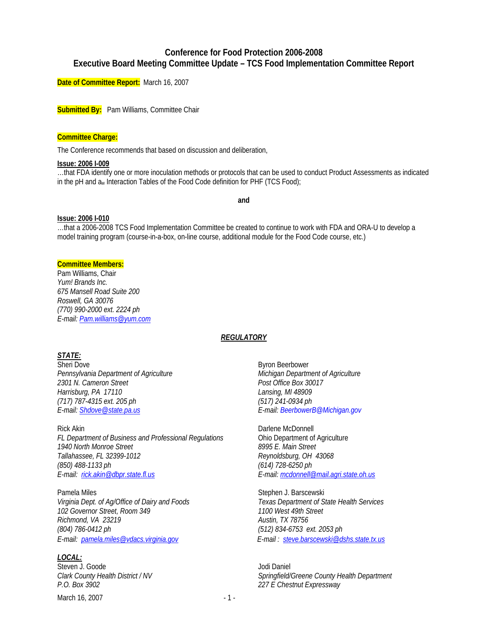# **Conference for Food Protection 2006-2008 Executive Board Meeting Committee Update – TCS Food Implementation Committee Report**

**Date of Committee Report:** March 16, 2007

**Submitted By:** Pam Williams, Committee Chair

#### **Committee Charge:**

The Conference recommends that based on discussion and deliberation,

#### **Issue: 2006 I-009**

…that FDA identify one or more inoculation methods or protocols that can be used to conduct Product Assessments as indicated in the pH and aw Interaction Tables of the Food Code definition for PHF (TCS Food);

**and** 

#### **Issue: 2006 I-010**

…that a 2006-2008 TCS Food Implementation Committee be created to continue to work with FDA and ORA-U to develop a model training program (course-in-a-box, on-line course, additional module for the Food Code course, etc.)

## **Committee Members:**

Pam Williams, Chair *Yum! Brands Inc. 675 Mansell Road Suite 200 Roswell, GA 30076 (770) 990-2000 ext. 2224 ph E-mail: Pam.williams@yum.com* 

## *REGULATORY*

## *STATE:*

Sheri Dove Byron Beerbower *Pennsylvania Department of Agriculture Michigan Department of Agriculture 2301 N. Cameron Street Post Office Box 30017 Harrisburg, PA 17110 Lansing, MI 48909 (717) 787-4315 ext. 205 ph (517) 241-0934 ph E-mail: Shdove@state.pa.us E-mail: BeerbowerB@Michigan.gov* 

Rick Akin **Darlene McDonnell** *FL Department of Business and Professional Regulations* **Chio Department of Agriculture**<br>1940 North Monroe Street **Chinage Construent Band Agriculture** 1940 North Monroe Street *Tallahassee, FL 32399-1012 Reynoldsburg, OH 43068 (850) 488-1133 ph (614) 728-6250 ph* 

Pamela Miles **Stephen J. Barscewski** *Virginia Dept. of Ag/Office of Dairy and Foods Texas Department of State Health Services 102 Governor Street, Room 349 1100 West 49th Street Richmond, VA 23219 Austin, TX 78756 (804) 786-0412 ph (512) 834-6753 ext. 2053 ph E-mail: pamela.miles@vdacs.virginia.gov E-mail : steve.barscewski@dshs.state.tx.us*

## *LOCAL:*

Steven J. Goode Jodi Daniel *P.O. Box 3902 227 E Chestnut Expressway* 

March 16, 2007 - 1 -

*E-mail: rick.akin@dbpr.state.fl.us E-mail: mcdonnell@mail.agri.state.oh.us*

*Clark County Health District / NV Springfield/Greene County Health Department*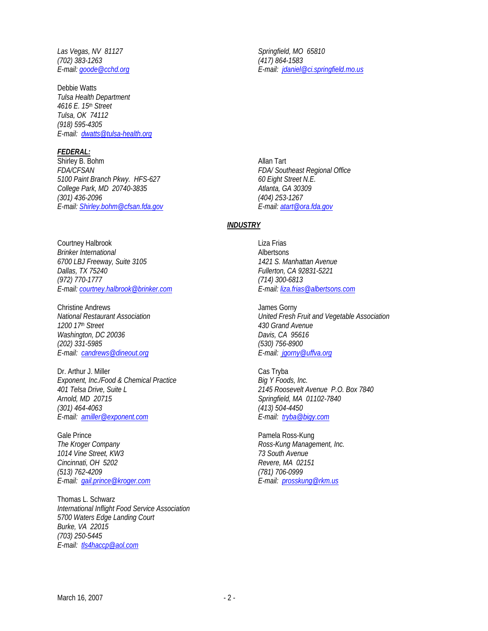Las Vegas, NV 81127 and Springfield, MO 65810 *(702) 383-1263 (417) 864-1583* 

Debbie Watts *Tulsa Health Department 4616 E. 15th Street Tulsa, OK 74112 (918) 595-4305 E-mail: dwatts@tulsa-health.org*

### *FEDERAL:*

Shirley B. Bohm Allan Tart *FDA/CFSAN FDA/ Southeast Regional Office 5100 Paint Branch Pkwy. HFS-627 60 Eight Street N.E. College Park, MD 20740-3835 (301) 436-2096 (404) 253-1267 E-mail: Shirley.bohm@cfsan.fda.gov E-mail: atart@ora.fda.gov*

Courtney Halbrook **Liza Frias** *Brinker International* **Albertsons** *6700 LBJ Freeway, Suite 3105 1421 S. Manhattan Avenue Dallas, TX 75240 Fullerton, CA 92831-5221 (972) 770-1777 (714) 300-6813 E-mail: courtney.halbrook@brinker.com E-mail: liza.frias@albertsons.com* 

Christine Andrews<br>
National Restaurant Association<br>
Vnited Fresh *Washington, DC 20036 Davis, CA 95616 (202) 331-5985 (530) 756-8900 E-mail: candrews@dineout.org E-mail: jgorny@uffva.org*

Dr. Arthur J. Miller Cas Tryba Exponent, Inc./Food & Chemical Practice Big Y Foods, Inc. *401 Telsa Drive, Suite L 2145 Roosevelt Avenue P.O. Box 7840 (301) 464-4063 (413) 504-4450 E-mail: amiller@exponent.com E-mail: tryba@bigy.com* 

Gale Prince **Pamela Ross-Kung** *The Kroger Company <b>Ross-Kung Management, Inc. Ross-Kung Management, Inc. 1014 Vine Street, KW3 73 South Avenue Cincinnati, OH 5202 Revere, MA 02151 (513) 762-4209 (781) 706-0999 E-mail: gail.prince@kroger.com E-mail: prosskung@rkm.us*

Thomas L. Schwarz *International Inflight Food Service Association 5700 Waters Edge Landing Court Burke, VA 22015 (703) 250-5445 E-mail: tls4haccp@aol.com* 

*E-mail: goode@cchd.org E-mail: jdaniel@ci.springfield.mo.us*

## *INDUSTRY*

*National Restaurant Association United Fresh Fruit and Vegetable Association 1200 17th Street 430 Grand Avenue* 

*Arnold, MD 20715 Springfield, MA 01102-7840*